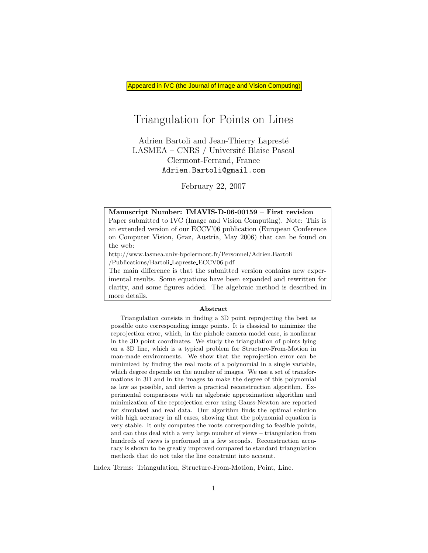Appeared in IVC (the Journal of Image and Vision Computing)

# Triangulation for Points on Lines

Adrien Bartoli and Jean-Thierry Lapresté LASMEA – CNRS / Université Blaise Pascal Clermont-Ferrand, France Adrien.Bartoli@gmail.com

February 22, 2007

#### Manuscript Number: IMAVIS-D-06-00159 – First revision

Paper submitted to IVC (Image and Vision Computing). Note: This is an extended version of our ECCV'06 publication (European Conference on Computer Vision, Graz, Austria, May 2006) that can be found on the web:

http://www.lasmea.univ-bpclermont.fr/Personnel/Adrien.Bartoli

/Publications/Bartoli Lapreste ECCV06.pdf

The main difference is that the submitted version contains new experimental results. Some equations have been expanded and rewritten for clarity, and some figures added. The algebraic method is described in more details.

#### Abstract

Triangulation consists in finding a 3D point reprojecting the best as possible onto corresponding image points. It is classical to minimize the reprojection error, which, in the pinhole camera model case, is nonlinear in the 3D point coordinates. We study the triangulation of points lying on a 3D line, which is a typical problem for Structure-From-Motion in man-made environments. We show that the reprojection error can be minimized by finding the real roots of a polynomial in a single variable, which degree depends on the number of images. We use a set of transformations in 3D and in the images to make the degree of this polynomial as low as possible, and derive a practical reconstruction algorithm. Experimental comparisons with an algebraic approximation algorithm and minimization of the reprojection error using Gauss-Newton are reported for simulated and real data. Our algorithm finds the optimal solution with high accuracy in all cases, showing that the polynomial equation is very stable. It only computes the roots corresponding to feasible points, and can thus deal with a very large number of views – triangulation from hundreds of views is performed in a few seconds. Reconstruction accuracy is shown to be greatly improved compared to standard triangulation methods that do not take the line constraint into account.

Index Terms: Triangulation, Structure-From-Motion, Point, Line.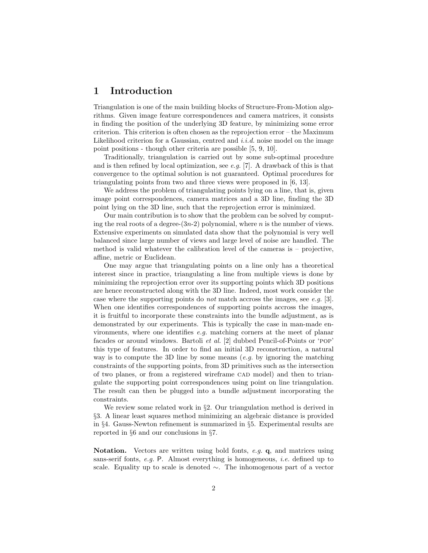# 1 Introduction

Triangulation is one of the main building blocks of Structure-From-Motion algorithms. Given image feature correspondences and camera matrices, it consists in finding the position of the underlying 3D feature, by minimizing some error criterion. This criterion is often chosen as the reprojection error – the Maximum Likelihood criterion for a Gaussian, centred and  $i.i.d.$  noise model on the image point positions - though other criteria are possible [5, 9, 10].

Traditionally, triangulation is carried out by some sub-optimal procedure and is then refined by local optimization, see e.g.  $[7]$ . A drawback of this is that convergence to the optimal solution is not guaranteed. Optimal procedures for triangulating points from two and three views were proposed in [6, 13].

We address the problem of triangulating points lying on a line, that is, given image point correspondences, camera matrices and a 3D line, finding the 3D point lying on the 3D line, such that the reprojection error is minimized.

Our main contribution is to show that the problem can be solved by computing the real roots of a degree- $(3n-2)$  polynomial, where n is the number of views. Extensive experiments on simulated data show that the polynomial is very well balanced since large number of views and large level of noise are handled. The method is valid whatever the calibration level of the cameras is – projective, affine, metric or Euclidean.

One may argue that triangulating points on a line only has a theoretical interest since in practice, triangulating a line from multiple views is done by minimizing the reprojection error over its supporting points which 3D positions are hence reconstructed along with the 3D line. Indeed, most work consider the case where the supporting points do *not* match accross the images, see e.g. [3]. When one identifies correspondences of supporting points accross the images, it is fruitful to incorporate these constraints into the bundle adjustment, as is demonstrated by our experiments. This is typically the case in man-made environments, where one identifies e.g. matching corners at the meet of planar facades or around windows. Bartoli et al. [2] dubbed Pencil-of-Points or 'pop' this type of features. In order to find an initial 3D reconstruction, a natural way is to compute the 3D line by some means (e.g. by ignoring the matching constraints of the supporting points, from 3D primitives such as the intersection of two planes, or from a registered wireframe cad model) and then to triangulate the supporting point correspondences using point on line triangulation. The result can then be plugged into a bundle adjustment incorporating the constraints.

We review some related work in §2. Our triangulation method is derived in §3. A linear least squares method minimizing an algebraic distance is provided in §4. Gauss-Newton refinement is summarized in §5. Experimental results are reported in §6 and our conclusions in §7.

Notation. Vectors are written using bold fonts, e.g. q, and matrices using sans-serif fonts, e.g. P. Almost everything is homogeneous, i.e. defined up to scale. Equality up to scale is denoted ∼. The inhomogenous part of a vector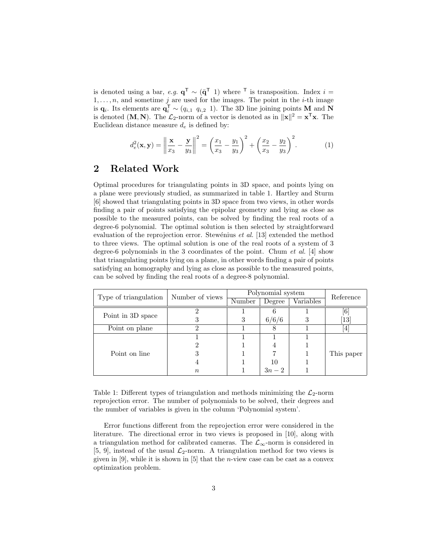is denoted using a bar,  $e.g. \mathbf{q}^{\mathsf{T}} \sim (\mathbf{\bar{q}}^{\mathsf{T}} \; 1)$  where  $\mathsf{F}$  is transposition. Index  $i =$  $1, \ldots, n$ , and sometime j are used for the images. The point in the *i*-th image is  $\mathbf{q}_i$ . Its elements are  $\mathbf{q}_i^{\mathsf{T}} \sim (q_{i,1} \ q_{i,2} \ 1)$ . The 3D line joining points  $\mathbf{M}$  and  $\mathbf{N}$ is denoted  $(M, N)$ . The  $\mathcal{L}_2$ -norm of a vector is denoted as in  $||\mathbf{x}||^2 = \mathbf{x}^\mathsf{T} \mathbf{x}$ . The Euclidean distance measure  $d_e$  is defined by:

$$
d_e^2(\mathbf{x}, \mathbf{y}) = \left\| \frac{\mathbf{x}}{x_3} - \frac{\mathbf{y}}{y_3} \right\|^2 = \left( \frac{x_1}{x_3} - \frac{y_1}{y_3} \right)^2 + \left( \frac{x_2}{x_3} - \frac{y_2}{y_3} \right)^2.
$$
 (1)

### 2 Related Work

Optimal procedures for triangulating points in 3D space, and points lying on a plane were previously studied, as summarized in table 1. Hartley and Sturm [6] showed that triangulating points in 3D space from two views, in other words finding a pair of points satisfying the epipolar geometry and lying as close as possible to the measured points, can be solved by finding the real roots of a degree-6 polynomial. The optimal solution is then selected by straightforward evaluation of the reprojection error. Stewénius et al. [13] extended the method to three views. The optimal solution is one of the real roots of a system of 3 degree-6 polynomials in the 3 coordinates of the point. Chum et al. [4] show that triangulating points lying on a plane, in other words finding a pair of points satisfying an homography and lying as close as possible to the measured points, can be solved by finding the real roots of a degree-8 polynomial.

| Type of triangulation | Number of views  | Polynomial system |        |           | Reference         |
|-----------------------|------------------|-------------------|--------|-----------|-------------------|
|                       |                  | Number            | Degree | Variables |                   |
| Point in 3D space     | ≘                |                   |        |           | $\lceil 6 \rceil$ |
|                       | 7                | Ő                 | 6/6/6  | 7         | 13                |
| Point on plane        | റ                |                   |        |           |                   |
| Point on line         |                  |                   |        |           |                   |
|                       |                  |                   |        |           |                   |
|                       |                  |                   |        |           | This paper        |
|                       |                  |                   | 10     |           |                   |
|                       | $\boldsymbol{n}$ |                   | $3n-2$ |           |                   |

Table 1: Different types of triangulation and methods minimizing the  $\mathcal{L}_2$ -norm reprojection error. The number of polynomials to be solved, their degrees and the number of variables is given in the column 'Polynomial system'.

Error functions different from the reprojection error were considered in the literature. The directional error in two views is proposed in [10], along with a triangulation method for calibrated cameras. The  $\mathcal{L}_{\infty}$ -norm is considered in [5, 9], instead of the usual  $\mathcal{L}_2$ -norm. A triangulation method for two views is given in  $[9]$ , while it is shown in  $[5]$  that the *n*-view case can be cast as a convex optimization problem.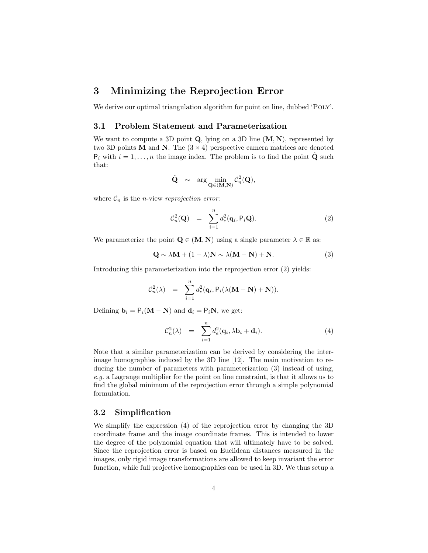# 3 Minimizing the Reprojection Error

We derive our optimal triangulation algorithm for point on line, dubbed 'POLY'.

### 3.1 Problem Statement and Parameterization

We want to compute a 3D point  $Q$ , lying on a 3D line  $(M, N)$ , represented by two 3D points **M** and **N**. The  $(3 \times 4)$  perspective camera matrices are denoted  $P_i$  with  $i = 1, \ldots, n$  the image index. The problem is to find the point  $\hat{Q}$  such that:

$$
\hat{\mathbf{Q}} \quad \sim \quad \arg\min_{\mathbf{Q} \in (\mathbf{M}, \mathbf{N})} C_n^2(\mathbf{Q}),
$$

where  $\mathcal{C}_n$  is the *n*-view *reprojection error*:

$$
\mathcal{C}_n^2(\mathbf{Q}) = \sum_{i=1}^n d_e^2(\mathbf{q}_i, \mathsf{P}_i \mathbf{Q}). \tag{2}
$$

We parameterize the point  $\mathbf{Q} \in (\mathbf{M}, \mathbf{N})$  using a single parameter  $\lambda \in \mathbb{R}$  as:

$$
\mathbf{Q} \sim \lambda \mathbf{M} + (1 - \lambda)\mathbf{N} \sim \lambda (\mathbf{M} - \mathbf{N}) + \mathbf{N}.
$$
 (3)

Introducing this parameterization into the reprojection error (2) yields:

$$
\mathcal{C}_n^2(\lambda) = \sum_{i=1}^n d_e^2(\mathbf{q}_i, \mathsf{P}_i(\lambda(\mathbf{M} - \mathbf{N}) + \mathbf{N})).
$$

Defining  $\mathbf{b}_i = P_i(\mathbf{M} - \mathbf{N})$  and  $\mathbf{d}_i = P_i\mathbf{N}$ , we get:

$$
\mathcal{C}_n^2(\lambda) = \sum_{i=1}^n d_e^2(\mathbf{q}_i, \lambda \mathbf{b}_i + \mathbf{d}_i).
$$
 (4)

Note that a similar parameterization can be derived by considering the interimage homographies induced by the 3D line [12]. The main motivation to reducing the number of parameters with parameterization (3) instead of using, e.g. a Lagrange multiplier for the point on line constraint, is that it allows us to find the global minimum of the reprojection error through a simple polynomial formulation.

### 3.2 Simplification

We simplify the expression (4) of the reprojection error by changing the 3D coordinate frame and the image coordinate frames. This is intended to lower the degree of the polynomial equation that will ultimately have to be solved. Since the reprojection error is based on Euclidean distances measured in the images, only rigid image transformations are allowed to keep invariant the error function, while full projective homographies can be used in 3D. We thus setup a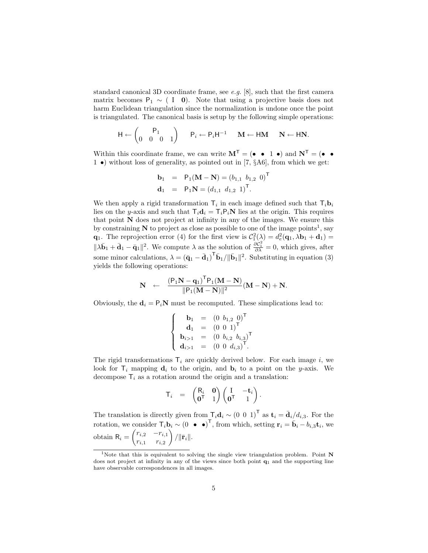standard canonical 3D coordinate frame, see e.g. [8], such that the first camera matrix becomes  $P_1 \sim (I \ 0)$ . Note that using a projective basis does not harm Euclidean triangulation since the normalization is undone once the point is triangulated. The canonical basis is setup by the following simple operations:

$$
\mathsf{H} \leftarrow \begin{pmatrix} \mathsf{P}_1 & \\ 0 & 0 & 0 & 1 \end{pmatrix} \qquad \mathsf{P}_i \leftarrow \mathsf{P}_i \mathsf{H}^{-1} \qquad \mathbf{M} \leftarrow \mathsf{H} \mathbf{M} \qquad \mathbf{N} \leftarrow \mathsf{H} \mathbf{N}.
$$

Within this coordinate frame, we can write  $M^T = (• • 1 •)$  and  $N^T = (• •$ 1 •) without loss of generality, as pointed out in [7, §A6], from which we get:

$$
\mathbf{b}_1 = \mathbf{P}_1(\mathbf{M} - \mathbf{N}) = (b_{1,1} \ b_{1,2} \ 0)^{\mathsf{T}}
$$
  

$$
\mathbf{d}_1 = \mathbf{P}_1 \mathbf{N} = (d_{1,1} \ d_{1,2} \ 1)^{\mathsf{T}}.
$$

We then apply a rigid transformation  $\mathsf{T}_i$  in each image defined such that  $\mathsf{T}_i \mathbf{b}_i$ lies on the y-axis and such that  $T_i \mathbf{d}_i = T_i P_i \mathbf{N}$  lies at the origin. This requires that point  $N$  does not project at infinity in any of the images. We ensure this by constraining  $N$  to project as close as possible to one of the image points<sup>1</sup>, say **q**<sub>1</sub>. The reprojection error (4) for the first view is  $C_1^2(\lambda) = d_e^2(\mathbf{q}_1, \lambda \mathbf{b}_1 + \mathbf{d}_1) =$  $\|\lambda \bar{\mathbf{b}}_1 + \bar{\mathbf{d}}_1 - \bar{\mathbf{q}}_1\|^2$ . We compute  $\lambda$  as the solution of  $\frac{\partial \mathcal{C}_1^2}{\partial \lambda} = 0$ , which gives, after some minor calculations,  $\lambda = (\bar{q}_1 - \bar{d}_1)^T \bar{b}_1 / ||\bar{b}_1||^2$ . Substituting in equation (3) yields the following operations:

$$
\mathbf{N} \quad \leftarrow \quad \frac{\left(\mathsf{P}_{1}\mathbf{N}-\mathbf{q}_{1}\right)^{\mathsf{T}}\mathsf{P}_{1}(\mathbf{M}-\mathbf{N})}{\|\mathsf{P}_{1}(\mathbf{M}-\mathbf{N})\|^{2}}(\mathbf{M}-\mathbf{N})+\mathbf{N}.
$$

Obviously, the  $\mathbf{d}_i = \mathsf{P}_i \mathbf{N}$  must be recomputed. These simplications lead to:

$$
\begin{cases}\n\mathbf{b}_1 = (0 \ b_{1,2} \ 0)^T \\
\mathbf{d}_1 = (0 \ 0 \ 1)^T \\
\mathbf{b}_{i>1} = (0 \ b_{i,2} \ b_{i,3})^T \\
\mathbf{d}_{i>1} = (0 \ 0 \ d_{i,3})^T.\n\end{cases}
$$

The rigid transformations  $\mathsf{T}_i$  are quickly derived below. For each image i, we look for  $\mathsf{T}_i$  mapping  $\mathbf{d}_i$  to the origin, and  $\mathbf{b}_i$  to a point on the y-axis. We decompose  $\mathsf{T}_i$  as a rotation around the origin and a translation:

$$
\mathsf{T}_i = \begin{pmatrix} \mathsf{R}_i & \mathbf{0} \\ \mathbf{0}^\mathsf{T} & 1 \end{pmatrix} \begin{pmatrix} \mathsf{I} & -\mathbf{t}_i \\ \mathbf{0}^\mathsf{T} & 1 \end{pmatrix}.
$$

The translation is directly given from  $\mathsf{T}_i \mathbf{d}_i \sim (0 \ 0 \ 1)^{\mathsf{T}}$  as  $\mathbf{t}_i = \bar{\mathbf{d}}_i / d_{i,3}$ . For the rotation, we consider  $\mathsf{T}_i \mathbf{b}_i \sim (0 \bullet \bullet)^{\mathsf{T}}$ , from which, setting  $\mathbf{r}_i = \bar{\mathbf{b}}_i - b_{i,3} \mathbf{t}_i$ , we obtain  $R_i = \begin{pmatrix} r_{i,2} & -r_{i,1} \\ r_{i,1} & r_{i,2} \end{pmatrix}$  $r_{i,1}$   $r_{i,2}$  $\Bigr\rangle$  /  $\| \bar{\mathbf{r}}_i \| .$ 

 $\overline{1\text{Note}}$  that this is equivalent to solving the single view triangulation problem. Point N does not project at infinity in any of the views since both point  $q_1$  and the supporting line have observable correspondences in all images.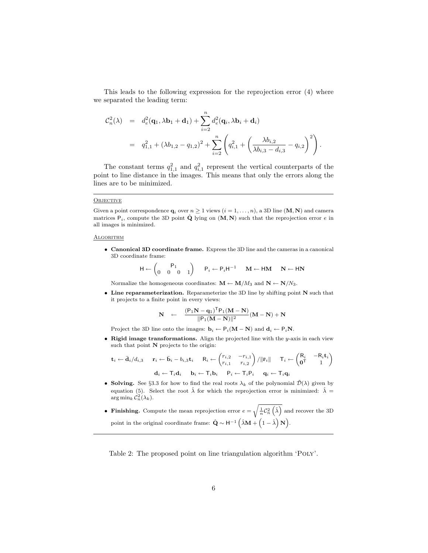This leads to the following expression for the reprojection error (4) where we separated the leading term:

$$
C_n^2(\lambda) = d_e^2(\mathbf{q}_1, \lambda \mathbf{b}_1 + \mathbf{d}_1) + \sum_{i=2}^n d_e^2(\mathbf{q}_i, \lambda \mathbf{b}_i + \mathbf{d}_i)
$$
  
=  $q_{1,1}^2 + (\lambda b_{1,2} - q_{1,2})^2 + \sum_{i=2}^n \left( q_{i,1}^2 + \left( \frac{\lambda b_{i,2}}{\lambda b_{i,3} - d_{i,3}} - q_{i,2} \right)^2 \right).$ 

The constant terms  $q_{1,1}^2$  and  $q_{i,1}^2$  represent the vertical counterparts of the point to line distance in the images. This means that only the errors along the lines are to be minimized.

#### **OBJECTIVE**

Given a point correspondence  $\mathbf{q}_i$  over  $n \geq 1$  views  $(i = 1, ..., n)$ , a 3D line  $(\mathbf{M}, \mathbf{N})$  and camera matrices  $P_i$ , compute the 3D point  $\hat{Q}$  lying on  $(M, N)$  such that the reprojection error e in all images is minimized.

#### **ALGORITHM**

• Canonical 3D coordinate frame. Express the 3D line and the cameras in a canonical 3D coordinate frame:

$$
\mathsf{H} \leftarrow \begin{pmatrix} \mathsf{P}_1 & \\ 0 & 0 & 0 & 1 \end{pmatrix} \quad \mathsf{P}_i \leftarrow \mathsf{P}_i \mathsf{H}^{-1} \quad \mathsf{M} \leftarrow \mathsf{H} \mathsf{M} \quad \mathsf{N} \leftarrow \mathsf{H} \mathsf{N}
$$

Normalize the homogeneous coordinates:  $\mathbf{M} \leftarrow \mathbf{M}/M_3$  and  $\mathbf{N} \leftarrow \mathbf{N}/N_3$ .

• Line reparameterization. Reparameterize the 3D line by shifting point N such that it projects to a finite point in every views:

$$
\hspace{-10mm} \begin{array}{lll} \displaystyle N & \leftarrow & \displaystyle \frac{\left(P_1N - {\bf q}_1\right)^T P_1(M-N)}{\|P_1(M-N)\|^2} (M-N) + N \end{array}
$$

Project the 3D line onto the images:  $\mathbf{b}_i \leftarrow \mathsf{P}_i(\mathbf{M} - \mathbf{N})$  and  $\mathbf{d}_i \leftarrow \mathsf{P}_i\mathbf{N}$ .

• Rigid image transformations. Align the projected line with the y-axis in each view such that point  ${\bf N}$  projects to the origin:

$$
\mathbf{t}_{i} \leftarrow \bar{\mathbf{d}}_{i}/d_{i,3} \quad \mathbf{r}_{i} \leftarrow \bar{\mathbf{b}}_{i} - b_{i,3}\mathbf{t}_{i} \quad \mathbf{R}_{i} \leftarrow \begin{pmatrix} r_{i,2} & -r_{i,1} \\ r_{i,1} & r_{i,2} \end{pmatrix} / \|\bar{\mathbf{r}}_{i}\| \quad \mathbf{T}_{i} \leftarrow \begin{pmatrix} \mathbf{R}_{i} & -\mathbf{R}_{i}\mathbf{t}_{i} \\ \mathbf{0}^{\mathsf{T}} & 1 \end{pmatrix}
$$

$$
\mathbf{d}_{i} \leftarrow \mathbf{T}_{i}\mathbf{d}_{i} \quad \mathbf{b}_{i} \leftarrow \mathbf{T}_{i}\mathbf{b}_{i} \quad \mathbf{P}_{i} \leftarrow \mathbf{T}_{i}\mathbf{P}_{i} \quad \mathbf{q}_{i} \leftarrow \mathbf{T}_{i}\mathbf{q}_{i}
$$

- Solving. See §3.3 for how to find the real roots  $\lambda_k$  of the polynomial  $\tilde{\mathcal{D}}(\lambda)$  given by equation (5). Select the root  $\hat{\lambda}$  for which the reprojection error is minimized:  $\hat{\lambda}$  =  $\arg\min_k \mathcal{C}_n^2(\lambda_k)$ .
- Finishing. Compute the mean reprojection error  $e = \sqrt{\frac{1}{n}C_n^2(\hat{\lambda})}$  and recover the 3D point in the original coordinate frame:  $\hat{\mathbf{Q}} \sim \mathbf{H}^{-1} \left( \hat{\lambda} \mathbf{M} + \left( 1 - \hat{\lambda} \right) \mathbf{N} \right)$ .

Table 2: The proposed point on line triangulation algorithm 'POLY'.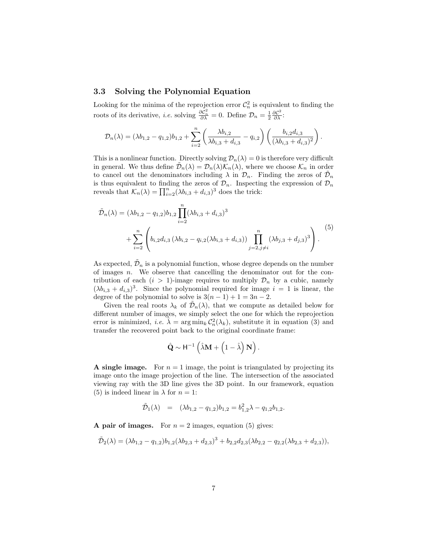### 3.3 Solving the Polynomial Equation

Looking for the minima of the reprojection error  $\mathcal{C}_n^2$  is equivalent to finding the roots of its derivative, *i.e.* solving  $\frac{\partial \mathcal{C}_n^2}{\partial \lambda} = 0$ . Define  $\mathcal{D}_n = \frac{1}{2} \frac{\partial \mathcal{C}^2}{\partial \lambda}$ :

$$
\mathcal{D}_n(\lambda) = (\lambda b_{1,2} - q_{1,2})b_{1,2} + \sum_{i=2}^n \left(\frac{\lambda b_{i,2}}{\lambda b_{i,3} + d_{i,3}} - q_{i,2}\right) \left(\frac{b_{i,2}d_{i,3}}{(\lambda b_{i,3} + d_{i,3})^2}\right)
$$

.

This is a nonlinear function. Directly solving  $\mathcal{D}_n(\lambda) = 0$  is therefore very difficult in general. We thus define  $\mathcal{D}_n(\lambda) = \mathcal{D}_n(\lambda)\mathcal{K}_n(\lambda)$ , where we choose  $\mathcal{K}_n$  in order to cancel out the denominators including  $\lambda$  in  $\mathcal{D}_n$ . Finding the zeros of  $\tilde{\mathcal{D}}_n$ is thus equivalent to finding the zeros of  $\mathcal{D}_n$ . Inspecting the expression of  $\mathcal{D}_n$ reveals that  $\mathcal{K}_n(\lambda) = \prod_{i=2}^n (\lambda b_{i,3} + d_{i,3})^3$  does the trick:

$$
\tilde{\mathcal{D}}_n(\lambda) = (\lambda b_{1,2} - q_{1,2})b_{1,2} \prod_{i=2}^n (\lambda b_{i,3} + d_{i,3})^3 \n+ \sum_{i=2}^n \left( b_{i,2} d_{i,3} (\lambda b_{i,2} - q_{i,2} (\lambda b_{i,3} + d_{i,3})) \prod_{j=2, j \neq i}^n (\lambda b_{j,3} + d_{j,3})^3 \right).
$$
\n(5)

As expected,  $\tilde{\mathcal{D}}_n$  is a polynomial function, whose degree depends on the number of images n. We observe that cancelling the denominator out for the contribution of each  $(i > 1)$ -image requires to multiply  $\mathcal{D}_n$  by a cubic, namely  $(\lambda b_{i,3} + d_{i,3})^3$ . Since the polynomial required for image  $i = 1$  is linear, the degree of the polynomial to solve is  $3(n-1) + 1 = 3n - 2$ .

Given the real roots  $\lambda_k$  of  $\tilde{\mathcal{D}}_n(\lambda)$ , that we compute as detailed below for different number of images, we simply select the one for which the reprojection error is minimized, *i.e.*  $\hat{\lambda} = \arg \min_k C_n^2(\lambda_k)$ , substitute it in equation (3) and transfer the recovered point back to the original coordinate frame:

$$
\hat{\mathbf{Q}} \sim \mathsf{H}^{-1}\left(\hat{\lambda}\mathbf{M} + \left(1 - \hat{\lambda}\right)\mathbf{N}\right).
$$

A single image. For  $n = 1$  image, the point is triangulated by projecting its image onto the image projection of the line. The intersection of the associated viewing ray with the 3D line gives the 3D point. In our framework, equation (5) is indeed linear in  $\lambda$  for  $n = 1$ :

$$
\tilde{\mathcal{D}}_1(\lambda) = (\lambda b_{1,2} - q_{1,2})b_{1,2} = b_{1,2}^2 \lambda - q_{1,2}b_{1,2}.
$$

A pair of images. For  $n = 2$  images, equation (5) gives:

$$
\tilde{\mathcal{D}}_2(\lambda) = (\lambda b_{1,2} - q_{1,2})b_{1,2}(\lambda b_{2,3} + d_{2,3})^3 + b_{2,2}d_{2,3}(\lambda b_{2,2} - q_{2,2}(\lambda b_{2,3} + d_{2,3})),
$$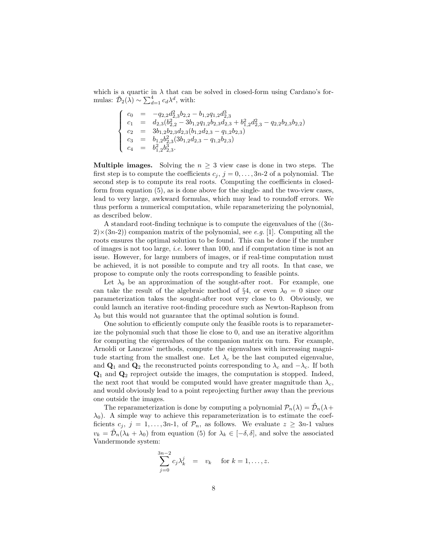which is a quartic in  $\lambda$  that can be solved in closed-form using Cardano's formulas:  $\tilde{\mathcal{D}}_2(\lambda) \sim \sum_{d=1}^4 c_d \lambda^d$ , with:

$$
\left\{\begin{array}{lll} c_0&=&-q_{2,2}d_{2,3}^2b_{2,2}-b_{1,2}q_{1,2}d_{2,3}^3\\ c_1&=&d_{2,3}(b_{2,2}^2-3b_{1,2}q_{1,2}b_{2,3}d_{2,3}+b_{1,2}^2d_{2,3}^2-q_{2,2}b_{2,3}b_{2,2})\\ c_2&=&3b_{1,2}b_{2,3}d_{2,3}(b_{1,2}d_{2,3}-q_{1,2}b_{2,3})\\ c_3&=&b_{1,2}b_{2,3}^2(3b_{1,2}d_{2,3}-q_{1,2}b_{2,3})\\ c_4&=&b_{1,2}^2b_{2,3}^3. \end{array}\right.
$$

**Multiple images.** Solving the  $n \geq 3$  view case is done in two steps. The first step is to compute the coefficients  $c_j$ ,  $j = 0, \ldots, 3n-2$  of a polynomial. The second step is to compute its real roots. Computing the coefficients in closedform from equation (5), as is done above for the single- and the two-view cases, lead to very large, awkward formulas, which may lead to roundoff errors. We thus perform a numerical computation, while reparameterizing the polynomial, as described below.

A standard root-finding technique is to compute the eigenvalues of the  $((3n 2 \times (3n-2)$  companion matrix of the polynomial, see e.g. [1]. Computing all the roots ensures the optimal solution to be found. This can be done if the number of images is not too large, i.e. lower than 100, and if computation time is not an issue. However, for large numbers of images, or if real-time computation must be achieved, it is not possible to compute and try all roots. In that case, we propose to compute only the roots corresponding to feasible points.

Let  $\lambda_0$  be an approximation of the sought-after root. For example, one can take the result of the algebraic method of  $\S 4$ , or even  $\lambda_0 = 0$  since our parameterization takes the sought-after root very close to 0. Obviously, we could launch an iterative root-finding procedure such as Newton-Raphson from  $\lambda_0$  but this would not guarantee that the optimal solution is found.

One solution to efficiently compute only the feasible roots is to reparameterize the polynomial such that those lie close to 0, and use an iterative algorithm for computing the eigenvalues of the companion matrix on turn. For example, Arnoldi or Lanczos' methods, compute the eigenvalues with increasing magnitude starting from the smallest one. Let  $\lambda_c$  be the last computed eigenvalue, and  $\mathbf{Q}_1$  and  $\mathbf{Q}_2$  the reconstructed points corresponding to  $\lambda_c$  and  $-\lambda_c$ . If both  $\mathbf{Q}_1$  and  $\mathbf{Q}_2$  reproject outside the images, the computation is stopped. Indeed, the next root that would be computed would have greater magnitude than  $\lambda_c$ , and would obviously lead to a point reprojecting further away than the previous one outside the images.

The reparameterization is done by computing a polynomial  $\mathcal{P}_n(\lambda) = \tilde{\mathcal{D}}_n(\lambda + \lambda)$  $\lambda_0$ ). A simple way to achieve this reparameterization is to estimate the coefficients  $c_j$ ,  $j = 1, \ldots, 3n-1$ , of  $\mathcal{P}_n$ , as follows. We evaluate  $z \geq 3n-1$  values  $v_k = \tilde{\mathcal{D}}_n(\lambda_k + \lambda_0)$  from equation (5) for  $\lambda_k \in [-\delta, \delta]$ , and solve the associated Vandermonde system:

$$
\sum_{j=0}^{3n-2} c_j \lambda_k^j = v_k \quad \text{for } k = 1, \dots, z.
$$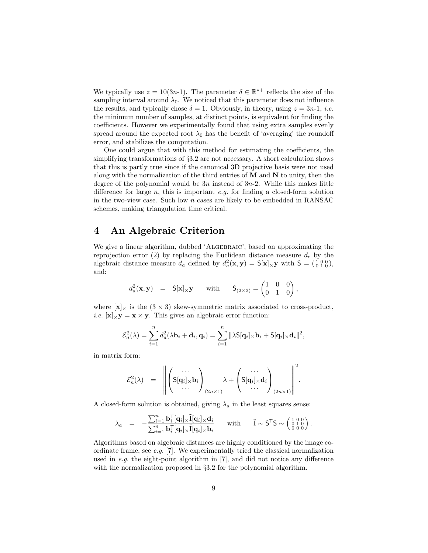We typically use  $z = 10(3n-1)$ . The parameter  $\delta \in \mathbb{R}^{*+}$  reflects the size of the sampling interval around  $\lambda_0$ . We noticed that this parameter does not influence the results, and typically chose  $\delta = 1$ . Obviously, in theory, using  $z = 3n-1$ , *i.e.* the minimum number of samples, at distinct points, is equivalent for finding the coefficients. However we experimentally found that using extra samples evenly spread around the expected root  $\lambda_0$  has the benefit of 'averaging' the roundoff error, and stabilizes the computation.

One could argue that with this method for estimating the coefficients, the simplifying transformations of §3.2 are not necessary. A short calculation shows that this is partly true since if the canonical 3D projective basis were not used along with the normalization of the third entries of  $M$  and  $N$  to unity, then the degree of the polynomial would be  $3n$  instead of  $3n-2$ . While this makes little difference for large  $n$ , this is important  $e.g.$  for finding a closed-form solution in the two-view case. Such low  $n$  cases are likely to be embedded in RANSAC schemes, making triangulation time critical.

# 4 An Algebraic Criterion

We give a linear algorithm, dubbed 'ALGEBRAIC', based on approximating the reprojection error (2) by replacing the Euclidean distance measure  $d_e$  by the algebraic distance measure  $d_a$  defined by  $d_a^2(\mathbf{x}, \mathbf{y}) = \mathsf{S}[\mathbf{x}] \times \mathbf{y}$  with  $\mathsf{S} = \begin{pmatrix} 1 & 0 & 0 \\ 0 & 1 & 0 \end{pmatrix}$ , and:

$$
d_a^2(\mathbf{x}, \mathbf{y}) = \mathsf{S}[\mathbf{x}] \times \mathbf{y} \quad \text{with} \quad \mathsf{S}_{(2 \times 3)} = \begin{pmatrix} 1 & 0 & 0 \\ 0 & 1 & 0 \end{pmatrix},
$$

where  $[\mathbf{x}]_{\times}$  is the  $(3 \times 3)$  skew-symmetric matrix associated to cross-product, *i.e.*  $[\mathbf{x}]_{\times} \mathbf{y} = \mathbf{x} \times \mathbf{y}$ . This gives an algebraic error function:

$$
\mathcal{E}_n^2(\lambda) = \sum_{i=1}^n d_a^2(\lambda \mathbf{b}_i + \mathbf{d}_i, \mathbf{q}_i) = \sum_{i=1}^n \|\lambda \mathbf{S}[\mathbf{q}_i]_{\times} \mathbf{b}_i + \mathbf{S}[\mathbf{q}_i]_{\times} \mathbf{d}_i\|^2,
$$

in matrix form:

$$
\mathcal{E}_n^2(\lambda) = \left\| \left( \mathsf{S}[\mathbf{q}_i]_{\times} \mathbf{b}_i \right)_{(2n \times 1)} \lambda + \left( \mathsf{S}[\mathbf{q}_i]_{\times} \mathbf{d}_i \right)_{(2n \times 1)} \right\|^2.
$$

A closed-form solution is obtained, giving  $\lambda_a$  in the least squares sense:

$$
\lambda_a = -\frac{\sum_{i=1}^n \mathbf{b}_i^{\mathsf{T}}[\mathbf{q}_i] \times \tilde{\mathbf{I}}[\mathbf{q}_i] \times \mathbf{d}_i}{\sum_{i=1}^n \mathbf{b}_i^{\mathsf{T}}[\mathbf{q}_i] \times \tilde{\mathbf{I}}[\mathbf{q}_i] \times \mathbf{b}_i}
$$
 with  $\tilde{\mathbf{I}} \sim \mathsf{S}^{\mathsf{T}}\mathsf{S} \sim \begin{pmatrix} 1 & 0 & 0 \\ 0 & 1 & 0 \\ 0 & 0 & 0 \end{pmatrix}$ .

Algorithms based on algebraic distances are highly conditioned by the image coordinate frame, see e.g. [7]. We experimentally tried the classical normalization used in e.g. the eight-point algorithm in [7], and did not notice any difference with the normalization proposed in §3.2 for the polynomial algorithm.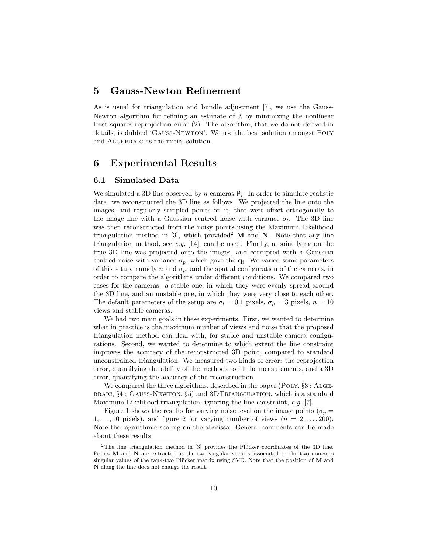### 5 Gauss-Newton Refinement

As is usual for triangulation and bundle adjustment [7], we use the Gauss-Newton algorithm for refining an estimate of  $\lambda$  by minimizing the nonlinear least squares reprojection error (2). The algorithm, that we do not derived in details, is dubbed 'Gauss-Newton'. We use the best solution amongst Poly and ALGEBRAIC as the initial solution.

### 6 Experimental Results

### 6.1 Simulated Data

We simulated a 3D line observed by  $n$  cameras  $P_i$ . In order to simulate realistic data, we reconstructed the 3D line as follows. We projected the line onto the images, and regularly sampled points on it, that were offset orthogonally to the image line with a Gaussian centred noise with variance  $\sigma_l$ . The 3D line was then reconstructed from the noisy points using the Maximum Likelihood triangulation method in [3], which provided<sup>2</sup> M and N. Note that any line triangulation method, see e.g.  $[14]$ , can be used. Finally, a point lying on the true 3D line was projected onto the images, and corrupted with a Gaussian centred noise with variance  $\sigma_p$ , which gave the  $\mathbf{q}_i$ . We varied some parameters of this setup, namely n and  $\sigma_p$ , and the spatial configuration of the cameras, in order to compare the algorithms under different conditions. We compared two cases for the cameras: a stable one, in which they were evenly spread around the 3D line, and an unstable one, in which they were very close to each other. The default parameters of the setup are  $\sigma_l = 0.1$  pixels,  $\sigma_p = 3$  pixels,  $n = 10$ views and stable cameras.

We had two main goals in these experiments. First, we wanted to determine what in practice is the maximum number of views and noise that the proposed triangulation method can deal with, for stable and unstable camera configurations. Second, we wanted to determine to which extent the line constraint improves the accuracy of the reconstructed 3D point, compared to standard unconstrained triangulation. We measured two kinds of error: the reprojection error, quantifying the ability of the methods to fit the measurements, and a 3D error, quantifying the accuracy of the reconstruction.

We compared the three algorithms, described in the paper (POLY,  $\S 3$ ; ALGEbraic, §4 ; Gauss-Newton, §5) and 3DTriangulation, which is a standard Maximum Likelihood triangulation, ignoring the line constraint, e.g. [7].

Figure 1 shows the results for varying noise level on the image points ( $\sigma_p =$  $1, \ldots, 10$  pixels), and figure 2 for varying number of views  $(n = 2, \ldots, 200)$ . Note the logarithmic scaling on the abscissa. General comments can be made about these results:

<sup>&</sup>lt;sup>2</sup>The line triangulation method in  $[3]$  provides the Plücker coordinates of the 3D line. Points M and N are extracted as the two singular vectors associated to the two non-zero singular values of the rank-two Plücker matrix using SVD. Note that the position of  $M$  and N along the line does not change the result.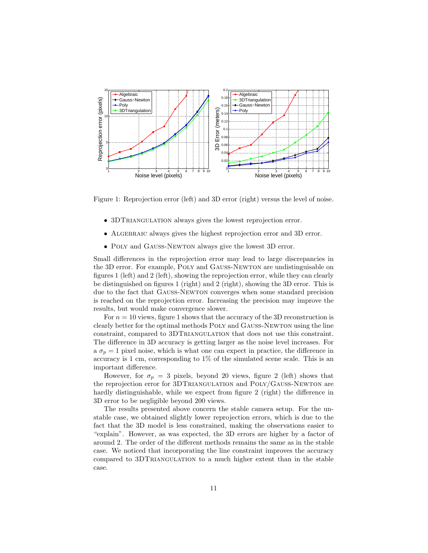

Figure 1: Reprojection error (left) and 3D error (right) versus the level of noise.

- 3DTRIANGULATION always gives the lowest reprojection error.
- ALGEBRAIC always gives the highest reprojection error and 3D error.
- POLY and GAUSS-NEWTON always give the lowest 3D error.

Small differences in the reprojection error may lead to large discrepancies in the 3D error. For example, Poly and Gauss-Newton are undistinguisable on figures 1 (left) and 2 (left), showing the reprojection error, while they can clearly be distinguished on figures 1 (right) and 2 (right), showing the 3D error. This is due to the fact that Gauss-Newton converges when some standard precision is reached on the reprojection error. Increasing the precision may improve the results, but would make convergence slower.

For  $n = 10$  views, figure 1 shows that the accuracy of the 3D reconstruction is clearly better for the optimal methods Poly and Gauss-Newton using the line constraint, compared to 3DTRIANGULATION that does not use this constraint. The difference in 3D accuracy is getting larger as the noise level increases. For a  $\sigma_p = 1$  pixel noise, which is what one can expect in practice, the difference in accuracy is 1 cm, corresponding to 1% of the simulated scene scale. This is an important difference.

However, for  $\sigma_p = 3$  pixels, beyond 20 views, figure 2 (left) shows that the reprojection error for 3DTRIANGULATION and POLY/GAUSS-NEWTON are hardly distinguishable, while we expect from figure 2 (right) the difference in 3D error to be negligible beyond 200 views.

The results presented above concern the stable camera setup. For the unstable case, we obtained slightly lower reprojection errors, which is due to the fact that the 3D model is less constrained, making the observations easier to "explain". However, as was expected, the 3D errors are higher by a factor of around 2. The order of the different methods remains the same as in the stable case. We noticed that incorporating the line constraint improves the accuracy compared to 3DTriangulation to a much higher extent than in the stable case.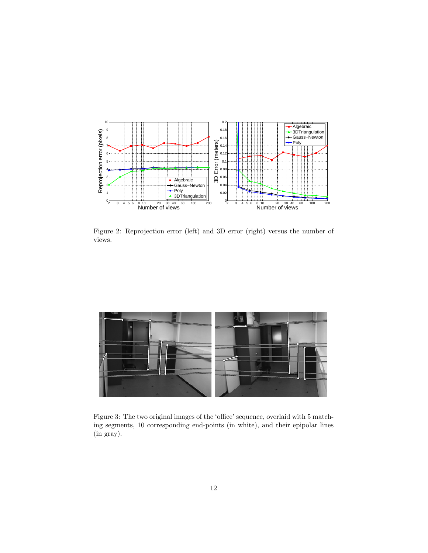

Figure 2: Reprojection error (left) and 3D error (right) versus the number of views.



Figure 3: The two original images of the 'office' sequence, overlaid with 5 matching segments, 10 corresponding end-points (in white), and their epipolar lines (in gray).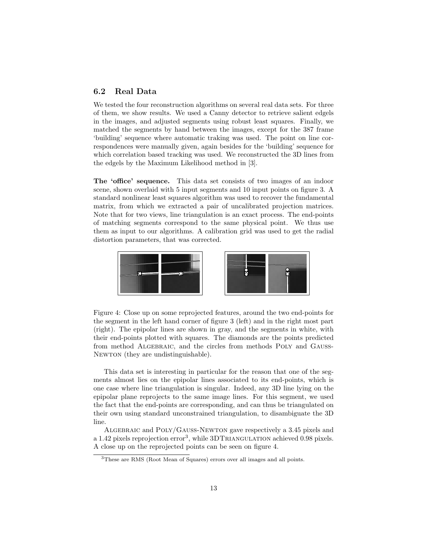### 6.2 Real Data

We tested the four reconstruction algorithms on several real data sets. For three of them, we show results. We used a Canny detector to retrieve salient edgels in the images, and adjusted segments using robust least squares. Finally, we matched the segments by hand between the images, except for the 387 frame 'building' sequence where automatic traking was used. The point on line correspondences were manually given, again besides for the 'building' sequence for which correlation based tracking was used. We reconstructed the 3D lines from the edgels by the Maximum Likelihood method in [3].

The 'office' sequence. This data set consists of two images of an indoor scene, shown overlaid with 5 input segments and 10 input points on figure 3. A standard nonlinear least squares algorithm was used to recover the fundamental matrix, from which we extracted a pair of uncalibrated projection matrices. Note that for two views, line triangulation is an exact process. The end-points of matching segments correspond to the same physical point. We thus use them as input to our algorithms. A calibration grid was used to get the radial distortion parameters, that was corrected.



Figure 4: Close up on some reprojected features, around the two end-points for the segment in the left hand corner of figure 3 (left) and in the right most part (right). The epipolar lines are shown in gray, and the segments in white, with their end-points plotted with squares. The diamonds are the points predicted from method ALGEBRAIC, and the circles from methods POLY and GAUSS-NEWTON (they are undistinguishable).

This data set is interesting in particular for the reason that one of the segments almost lies on the epipolar lines associated to its end-points, which is one case where line triangulation is singular. Indeed, any 3D line lying on the epipolar plane reprojects to the same image lines. For this segment, we used the fact that the end-points are corresponding, and can thus be triangulated on their own using standard unconstrained triangulation, to disambiguate the 3D line.

Algebraic and Poly/Gauss-Newton gave respectively a 3.45 pixels and a 1.42 pixels reprojection error<sup>3</sup>, while 3DTRIANGULATION achieved 0.98 pixels. A close up on the reprojected points can be seen on figure 4.

<sup>3</sup>These are RMS (Root Mean of Squares) errors over all images and all points.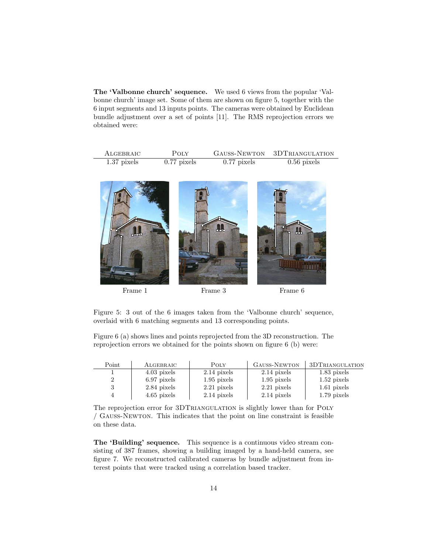The 'Valbonne church' sequence. We used 6 views from the popular 'Valbonne church' image set. Some of them are shown on figure 5, together with the 6 input segments and 13 inputs points. The cameras were obtained by Euclidean bundle adjustment over a set of points [11]. The RMS reprojection errors we obtained were:

| ALGEBRAIC     | <b>POLY</b>   |               | GAUSS-NEWTON 3DTRIANGULATION |
|---------------|---------------|---------------|------------------------------|
| $1.37$ pixels | $0.77$ pixels | $0.77$ pixels | $0.56$ pixels                |



Figure 5: 3 out of the 6 images taken from the 'Valbonne church' sequence, overlaid with 6 matching segments and 13 corresponding points.

Figure 6 (a) shows lines and points reprojected from the 3D reconstruction. The reprojection errors we obtained for the points shown on figure 6 (b) were:

| Point | ALGEBRAIC     | POLY          | <b>GAUSS-NEWTON</b> | 3DTRIANGULATION |
|-------|---------------|---------------|---------------------|-----------------|
|       | $4.03$ pixels | $2.14$ pixels | $2.14$ pixels       | 1.83 pixels     |
|       | $6.97$ pixels | $1.95$ pixels | $1.95$ pixels       | $1.52$ pixels   |
| 3     | 2.84 pixels   | $2.21$ pixels | $2.21$ pixels       | $1.61$ pixels   |
| 4     | $4.65$ pixels | $2.14$ pixels | $2.14$ pixels       | $1.79$ pixels   |

The reprojection error for 3DTRIANGULATION is slightly lower than for POLY / Gauss-Newton. This indicates that the point on line constraint is feasible on these data.

The 'Building' sequence. This sequence is a continuous video stream consisting of 387 frames, showing a building imaged by a hand-held camera, see figure 7. We reconstructed calibrated cameras by bundle adjustment from interest points that were tracked using a correlation based tracker.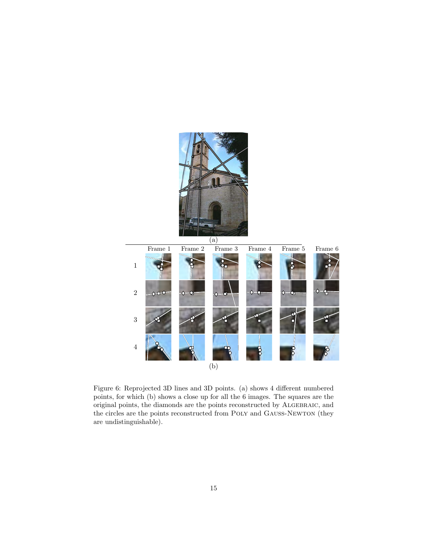

Figure 6: Reprojected 3D lines and 3D points. (a) shows 4 different numbered points, for which (b) shows a close up for all the 6 images. The squares are the original points, the diamonds are the points reconstructed by Algebraic, and the circles are the points reconstructed from Poly and Gauss-Newton (they are undistinguishable).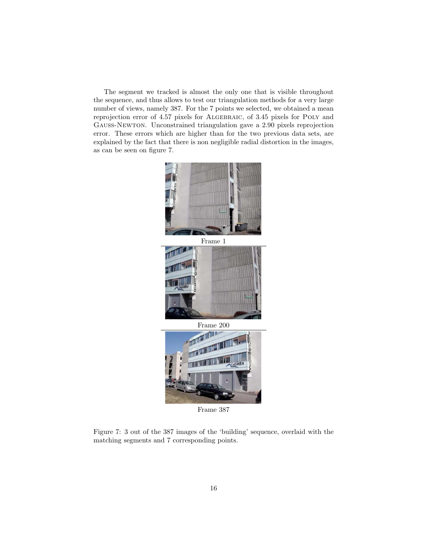The segment we tracked is almost the only one that is visible throughout the sequence, and thus allows to test our triangulation methods for a very large number of views, namely 387. For the 7 points we selected, we obtained a mean reprojection error of 4.57 pixels for Algebraic, of 3.45 pixels for Poly and Gauss-Newton. Unconstrained triangulation gave a 2.90 pixels reprojection error. These errors which are higher than for the two previous data sets, are explained by the fact that there is non negligible radial distortion in the images, as can be seen on figure 7.



Frame 387

Figure 7: 3 out of the 387 images of the 'building' sequence, overlaid with the matching segments and 7 corresponding points.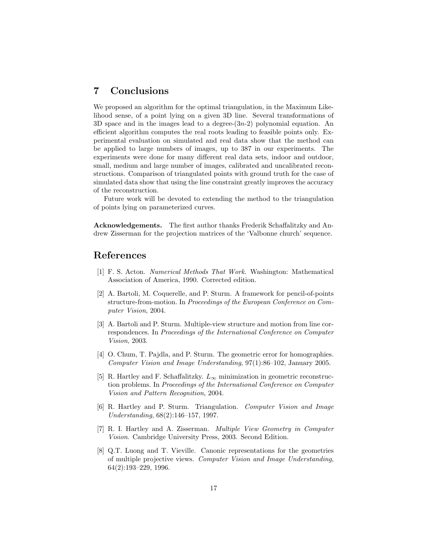# 7 Conclusions

We proposed an algorithm for the optimal triangulation, in the Maximum Likelihood sense, of a point lying on a given 3D line. Several transformations of 3D space and in the images lead to a degree- $(3n-2)$  polynomial equation. An efficient algorithm computes the real roots leading to feasible points only. Experimental evaluation on simulated and real data show that the method can be applied to large numbers of images, up to 387 in our experiments. The experiments were done for many different real data sets, indoor and outdoor, small, medium and large number of images, calibrated and uncalibrated reconstructions. Comparison of triangulated points with ground truth for the case of simulated data show that using the line constraint greatly improves the accuracy of the reconstruction.

Future work will be devoted to extending the method to the triangulation of points lying on parameterized curves.

Acknowledgements. The first author thanks Frederik Schaffalitzky and Andrew Zisserman for the projection matrices of the 'Valbonne church' sequence.

### References

- [1] F. S. Acton. Numerical Methods That Work. Washington: Mathematical Association of America, 1990. Corrected edition.
- [2] A. Bartoli, M. Coquerelle, and P. Sturm. A framework for pencil-of-points structure-from-motion. In Proceedings of the European Conference on Computer Vision, 2004.
- [3] A. Bartoli and P. Sturm. Multiple-view structure and motion from line correspondences. In Proceedings of the International Conference on Computer Vision, 2003.
- [4] O. Chum, T. Pajdla, and P. Sturm. The geometric error for homographies. Computer Vision and Image Understanding, 97(1):86–102, January 2005.
- [5] R. Hartley and F. Schaffalitzky.  $L_{\infty}$  minimization in geometric reconstruction problems. In Proceedings of the International Conference on Computer Vision and Pattern Recognition, 2004.
- [6] R. Hartley and P. Sturm. Triangulation. Computer Vision and Image Understanding, 68(2):146–157, 1997.
- [7] R. I. Hartley and A. Zisserman. Multiple View Geometry in Computer Vision. Cambridge University Press, 2003. Second Edition.
- [8] Q.T. Luong and T. Vieville. Canonic representations for the geometries of multiple projective views. Computer Vision and Image Understanding, 64(2):193–229, 1996.